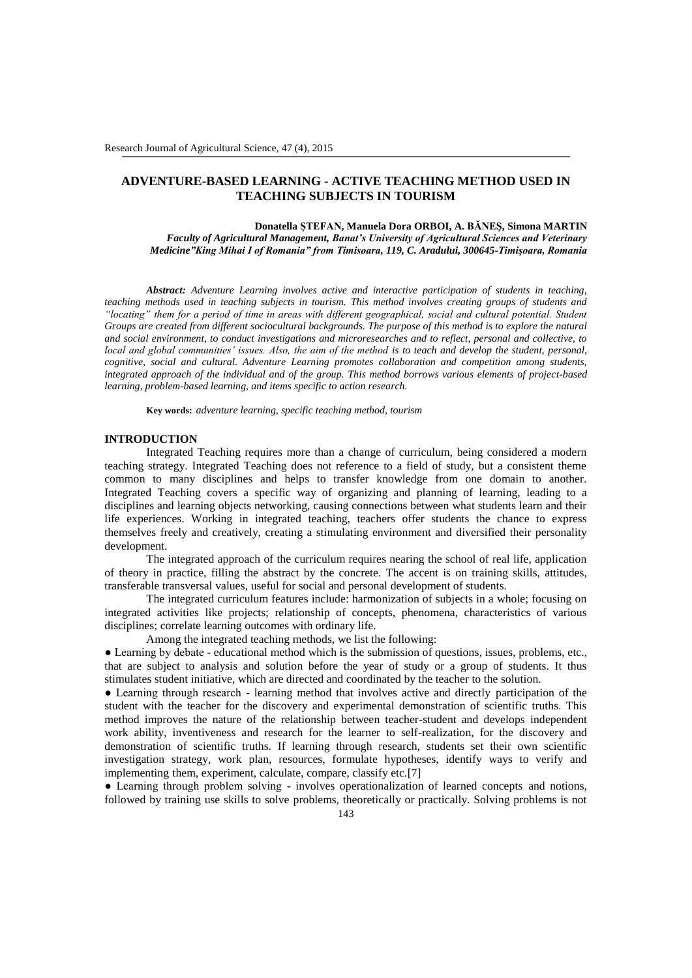# **ADVENTURE-BASED LEARNING - ACTIVE TEACHING METHOD USED IN TEACHING SUBJECTS IN TOURISM**

**Donatella ŞTEFAN, Manuela Dora ORBOI, A. BĂNEŞ, Simona MARTIN** *Faculty of Agricultural Management, Banat's University of Agricultural Sciences and Veterinary Medicine"King Mihai I of Romania" from Timisoara, 119, C. Aradului, 300645-Timişoara, Romania*

*Abstract: Adventure Learning involves active and interactive participation of students in teaching, teaching methods used in teaching subjects in tourism. This method involves creating groups of students and "locating" them for a period of time in areas with different geographical, social and cultural potential. Student Groups are created from different sociocultural backgrounds. The purpose of this method is to explore the natural and social environment, to conduct investigations and microresearches and to reflect, personal and collective, to local and global communities' issues. Also, the aim of the method is to teach and develop the student, personal, cognitive, social and cultural. Adventure Learning promotes collaboration and competition among students, integrated approach of the individual and of the group. This method borrows various elements of project-based learning, problem-based learning, and items specific to action research.*

**Key words:** *adventure learning, specific teaching method, tourism*

### **INTRODUCTION**

Integrated Teaching requires more than a change of curriculum, being considered a modern teaching strategy. Integrated Teaching does not reference to a field of study, but a consistent theme common to many disciplines and helps to transfer knowledge from one domain to another. Integrated Teaching covers a specific way of organizing and planning of learning, leading to a disciplines and learning objects networking, causing connections between what students learn and their life experiences. Working in integrated teaching, teachers offer students the chance to express themselves freely and creatively, creating a stimulating environment and diversified their personality development.

The integrated approach of the curriculum requires nearing the school of real life, application of theory in practice, filling the abstract by the concrete. The accent is on training skills, attitudes, transferable transversal values, useful for social and personal development of students.

The integrated curriculum features include: harmonization of subjects in a whole; focusing on integrated activities like projects; relationship of concepts, phenomena, characteristics of various disciplines; correlate learning outcomes with ordinary life.

Among the integrated teaching methods, we list the following:

● Learning by debate - educational method which is the submission of questions, issues, problems, etc., that are subject to analysis and solution before the year of study or a group of students. It thus stimulates student initiative, which are directed and coordinated by the teacher to the solution.

● Learning through research - learning method that involves active and directly participation of the student with the teacher for the discovery and experimental demonstration of scientific truths. This method improves the nature of the relationship between teacher-student and develops independent work ability, inventiveness and research for the learner to self-realization, for the discovery and demonstration of scientific truths. If learning through research, students set their own scientific investigation strategy, work plan, resources, formulate hypotheses, identify ways to verify and implementing them, experiment, calculate, compare, classify etc.[7]

● Learning through problem solving - involves operationalization of learned concepts and notions, followed by training use skills to solve problems, theoretically or practically. Solving problems is not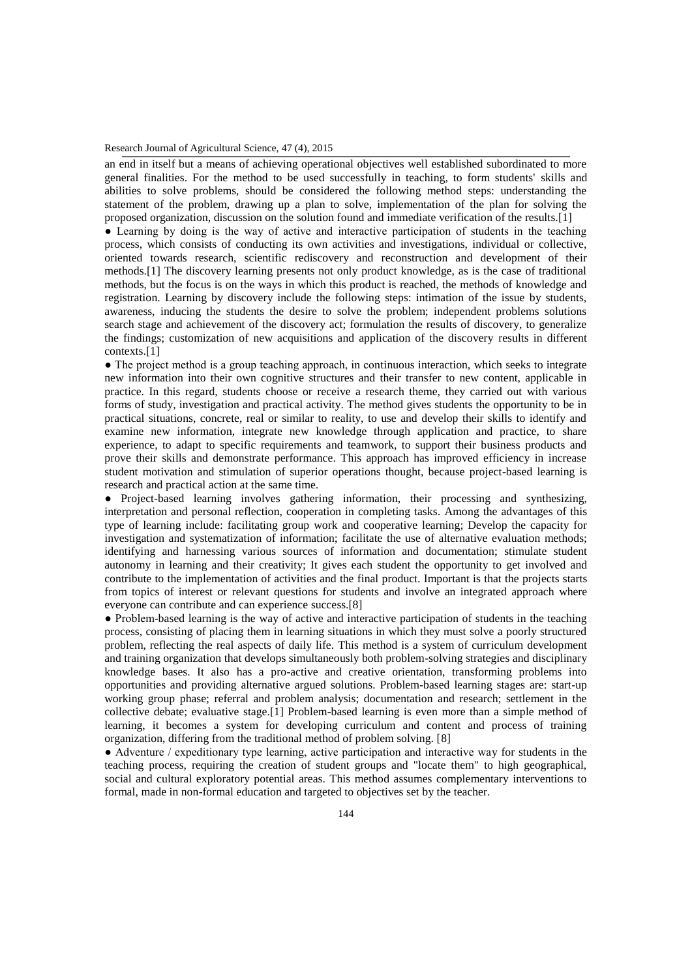#### Research Journal of Agricultural Science, 47 (4), 2015

an end in itself but a means of achieving operational objectives well established subordinated to more general finalities. For the method to be used successfully in teaching, to form students' skills and abilities to solve problems, should be considered the following method steps: understanding the statement of the problem, drawing up a plan to solve, implementation of the plan for solving the proposed organization, discussion on the solution found and immediate verification of the results.[1]

• Learning by doing is the way of active and interactive participation of students in the teaching process, which consists of conducting its own activities and investigations, individual or collective, oriented towards research, scientific rediscovery and reconstruction and development of their methods.[1] The discovery learning presents not only product knowledge, as is the case of traditional methods, but the focus is on the ways in which this product is reached, the methods of knowledge and registration. Learning by discovery include the following steps: intimation of the issue by students, awareness, inducing the students the desire to solve the problem; independent problems solutions search stage and achievement of the discovery act; formulation the results of discovery, to generalize the findings; customization of new acquisitions and application of the discovery results in different contexts.[1]

• The project method is a group teaching approach, in continuous interaction, which seeks to integrate new information into their own cognitive structures and their transfer to new content, applicable in practice. In this regard, students choose or receive a research theme, they carried out with various forms of study, investigation and practical activity. The method gives students the opportunity to be in practical situations, concrete, real or similar to reality, to use and develop their skills to identify and examine new information, integrate new knowledge through application and practice, to share experience, to adapt to specific requirements and teamwork, to support their business products and prove their skills and demonstrate performance. This approach has improved efficiency in increase student motivation and stimulation of superior operations thought, because project-based learning is research and practical action at the same time.

● Project-based learning involves gathering information, their processing and synthesizing, interpretation and personal reflection, cooperation in completing tasks. Among the advantages of this type of learning include: facilitating group work and cooperative learning; Develop the capacity for investigation and systematization of information; facilitate the use of alternative evaluation methods; identifying and harnessing various sources of information and documentation; stimulate student autonomy in learning and their creativity; It gives each student the opportunity to get involved and contribute to the implementation of activities and the final product. Important is that the projects starts from topics of interest or relevant questions for students and involve an integrated approach where everyone can contribute and can experience success.[8]

• Problem-based learning is the way of active and interactive participation of students in the teaching process, consisting of placing them in learning situations in which they must solve a poorly structured problem, reflecting the real aspects of daily life. This method is a system of curriculum development and training organization that develops simultaneously both problem-solving strategies and disciplinary knowledge bases. It also has a pro-active and creative orientation, transforming problems into opportunities and providing alternative argued solutions. Problem-based learning stages are: start-up working group phase; referral and problem analysis; documentation and research; settlement in the collective debate; evaluative stage.[1] Problem-based learning is even more than a simple method of learning, it becomes a system for developing curriculum and content and process of training organization, differing from the traditional method of problem solving. [8]

● Adventure / expeditionary type learning, active participation and interactive way for students in the teaching process, requiring the creation of student groups and "locate them" to high geographical, social and cultural exploratory potential areas. This method assumes complementary interventions to formal, made in non-formal education and targeted to objectives set by the teacher.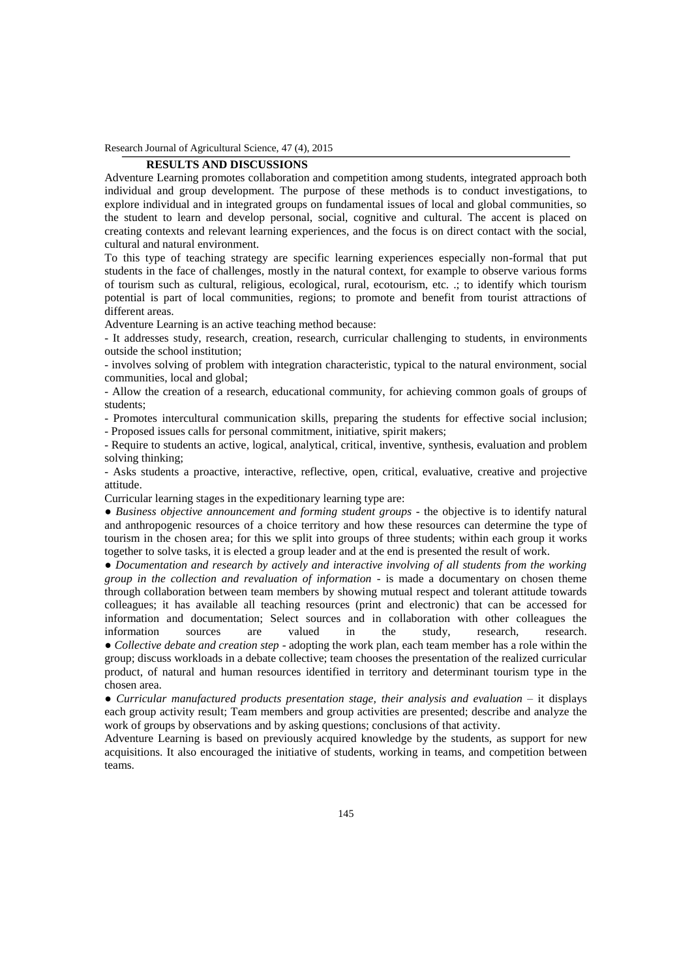Research Journal of Agricultural Science, 47 (4), 2015

## **RESULTS AND DISCUSSIONS**

Adventure Learning promotes collaboration and competition among students, integrated approach both individual and group development. The purpose of these methods is to conduct investigations, to explore individual and in integrated groups on fundamental issues of local and global communities, so the student to learn and develop personal, social, cognitive and cultural. The accent is placed on creating contexts and relevant learning experiences, and the focus is on direct contact with the social, cultural and natural environment.

To this type of teaching strategy are specific learning experiences especially non-formal that put students in the face of challenges, mostly in the natural context, for example to observe various forms of tourism such as cultural, religious, ecological, rural, ecotourism, etc. .; to identify which tourism potential is part of local communities, regions; to promote and benefit from tourist attractions of different areas.

Adventure Learning is an active teaching method because:

- It addresses study, research, creation, research, curricular challenging to students, in environments outside the school institution;

- involves solving of problem with integration characteristic, typical to the natural environment, social communities, local and global;

- Allow the creation of a research, educational community, for achieving common goals of groups of students;

- Promotes intercultural communication skills, preparing the students for effective social inclusion;

- Proposed issues calls for personal commitment, initiative, spirit makers;

- Require to students an active, logical, analytical, critical, inventive, synthesis, evaluation and problem solving thinking;

- Asks students a proactive, interactive, reflective, open, critical, evaluative, creative and projective attitude.

Curricular learning stages in the expeditionary learning type are:

● *Business objective announcement and forming student groups* - the objective is to identify natural and anthropogenic resources of a choice territory and how these resources can determine the type of tourism in the chosen area; for this we split into groups of three students; within each group it works together to solve tasks, it is elected a group leader and at the end is presented the result of work.

● *Documentation and research by actively and interactive involving of all students from the working group in the collection and revaluation of information* - is made a documentary on chosen theme through collaboration between team members by showing mutual respect and tolerant attitude towards colleagues; it has available all teaching resources (print and electronic) that can be accessed for information and documentation; Select sources and in collaboration with other colleagues the information sources are valued in the study, research, research. ● *Collective debate and creation step* - adopting the work plan, each team member has a role within the group; discuss workloads in a debate collective; team chooses the presentation of the realized curricular product, of natural and human resources identified in territory and determinant tourism type in the

chosen area.

● *Curricular manufactured products presentation stage, their analysis and evaluation* – it displays each group activity result; Team members and group activities are presented; describe and analyze the work of groups by observations and by asking questions; conclusions of that activity.

Adventure Learning is based on previously acquired knowledge by the students, as support for new acquisitions. It also encouraged the initiative of students, working in teams, and competition between teams.